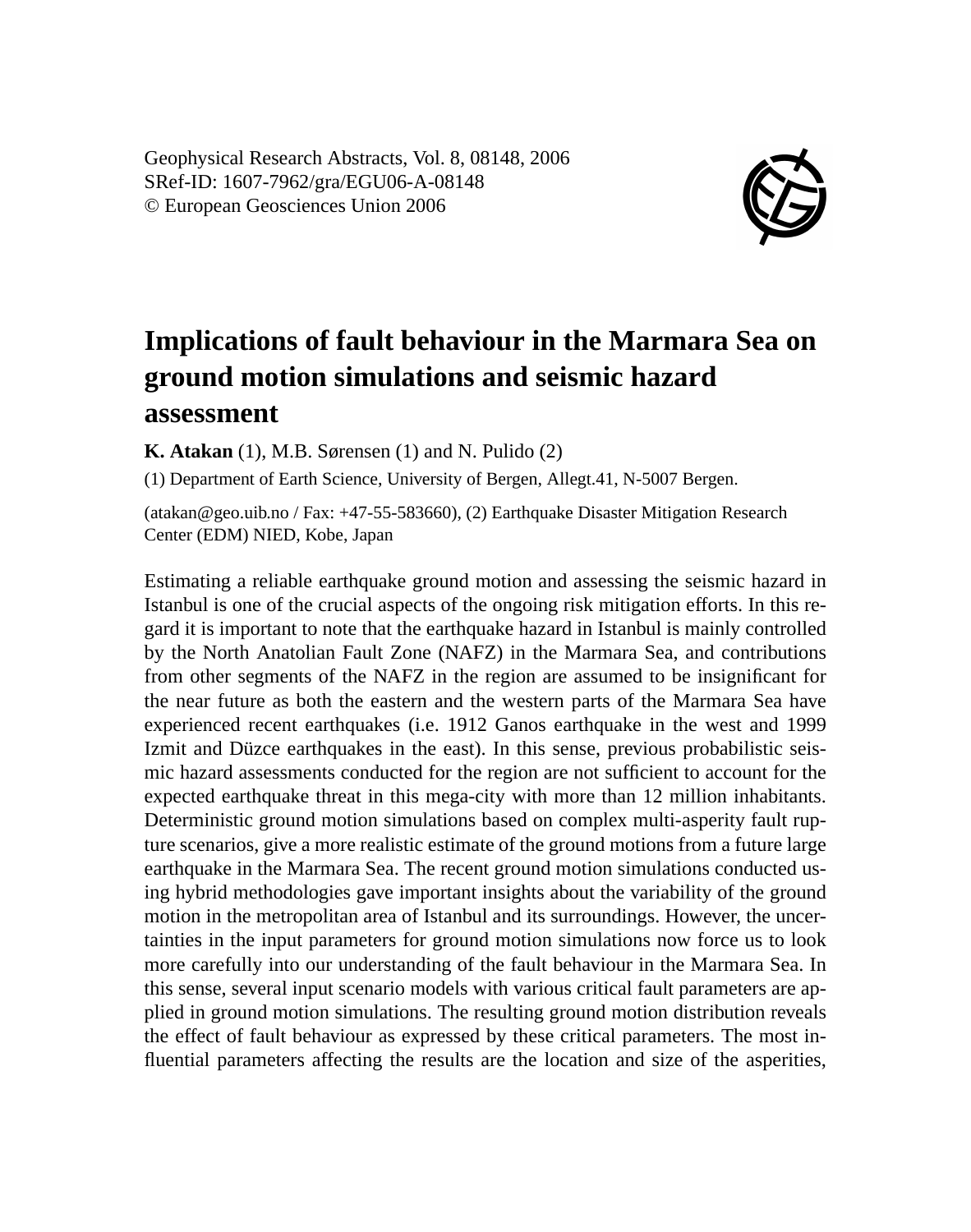Geophysical Research Abstracts, Vol. 8, 08148, 2006 SRef-ID: 1607-7962/gra/EGU06-A-08148 © European Geosciences Union 2006



## **Implications of fault behaviour in the Marmara Sea on ground motion simulations and seismic hazard assessment**

**K. Atakan** (1), M.B. Sørensen (1) and N. Pulido (2)

(1) Department of Earth Science, University of Bergen, Allegt.41, N-5007 Bergen.

(atakan@geo.uib.no / Fax: +47-55-583660), (2) Earthquake Disaster Mitigation Research Center (EDM) NIED, Kobe, Japan

Estimating a reliable earthquake ground motion and assessing the seismic hazard in Istanbul is one of the crucial aspects of the ongoing risk mitigation efforts. In this regard it is important to note that the earthquake hazard in Istanbul is mainly controlled by the North Anatolian Fault Zone (NAFZ) in the Marmara Sea, and contributions from other segments of the NAFZ in the region are assumed to be insignificant for the near future as both the eastern and the western parts of the Marmara Sea have experienced recent earthquakes (i.e. 1912 Ganos earthquake in the west and 1999 Izmit and Düzce earthquakes in the east). In this sense, previous probabilistic seismic hazard assessments conducted for the region are not sufficient to account for the expected earthquake threat in this mega-city with more than 12 million inhabitants. Deterministic ground motion simulations based on complex multi-asperity fault rupture scenarios, give a more realistic estimate of the ground motions from a future large earthquake in the Marmara Sea. The recent ground motion simulations conducted using hybrid methodologies gave important insights about the variability of the ground motion in the metropolitan area of Istanbul and its surroundings. However, the uncertainties in the input parameters for ground motion simulations now force us to look more carefully into our understanding of the fault behaviour in the Marmara Sea. In this sense, several input scenario models with various critical fault parameters are applied in ground motion simulations. The resulting ground motion distribution reveals the effect of fault behaviour as expressed by these critical parameters. The most influential parameters affecting the results are the location and size of the asperities,